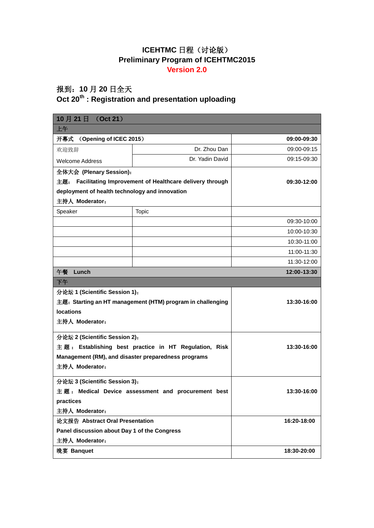## ICEHTMC 日程(讨论版) **Preliminary Program of ICEHTMC2015 Version 2.0**

## 报到:**10** 月 **20** 日全天

## **Oct 20th : Registration and presentation uploading**

| (Oct 21)<br>10月21日                                             |                 |             |  |
|----------------------------------------------------------------|-----------------|-------------|--|
| 上午                                                             |                 |             |  |
| 开幕式<br>(Opening of ICEC 2015)                                  |                 | 09:00-09:30 |  |
| 欢迎致辞                                                           | Dr. Zhou Dan    | 09:00-09:15 |  |
| <b>Welcome Address</b>                                         | Dr. Yadin David | 09:15-09:30 |  |
| 全体大会 (Plenary Session):                                        |                 |             |  |
| Facilitating Improvement of Healthcare delivery through<br>主题: |                 | 09:30-12:00 |  |
| deployment of health technology and innovation                 |                 |             |  |
| 主持人 Moderator:                                                 |                 |             |  |
| Speaker                                                        | <b>Topic</b>    |             |  |
|                                                                |                 | 09:30-10:00 |  |
|                                                                |                 | 10:00-10:30 |  |
|                                                                |                 | 10:30-11:00 |  |
|                                                                |                 | 11:00-11:30 |  |
|                                                                |                 | 11:30-12:00 |  |
| 午餐<br>Lunch<br>12:00-13:30                                     |                 |             |  |
| 下午                                                             |                 |             |  |
| 分论坛 1 (Scientific Session 1):                                  |                 |             |  |
| 主题: Starting an HT management (HTM) program in challenging     |                 | 13:30-16:00 |  |
| <b>locations</b>                                               |                 |             |  |
| 主持人 Moderator:                                                 |                 |             |  |
| 分论坛 2 (Scientific Session 2):                                  |                 |             |  |
| 主题: Establishing best practice in HT Regulation, Risk          |                 | 13:30-16:00 |  |
| Management (RM), and disaster preparedness programs            |                 |             |  |
| 主持人 Moderator:                                                 |                 |             |  |
| 分论坛 3 (Scientific Session 3):                                  |                 |             |  |
| 主题: Medical Device assessment and procurement best             |                 | 13:30-16:00 |  |
| practices                                                      |                 |             |  |
| 主持人 Moderator:                                                 |                 |             |  |
| 论文报告 Abstract Oral Presentation                                |                 | 16:20-18:00 |  |
| Panel discussion about Day 1 of the Congress                   |                 |             |  |
| 主持人 Moderator:                                                 |                 |             |  |
| 晚宴 Banquet                                                     |                 | 18:30-20:00 |  |